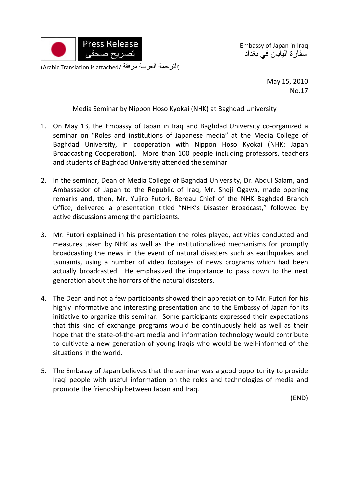

Embassy of Japan in Iraq سفارة اليابان في بغداد

(التر جمة العربية مرفقة /Arabic Translation is attached)

May 15, 2010 No.17

## Media Seminar by Nippon Hoso Kyokai (NHK) at Baghdad University

- 1. On May 13, the Embassy of Japan in Iraq and Baghdad University co-organized a seminar on "Roles and institutions of Japanese media" at the Media College of Baghdad University, in cooperation with Nippon Hoso Kyokai (NHK: Japan Broadcasting Cooperation). More than 100 people including professors, teachers and students of Baghdad University attended the seminar.
- 2. In the seminar, Dean of Media College of Baghdad University, Dr. Abdul Salam, and Ambassador of Japan to the Republic of Iraq, Mr. Shoji Ogawa, made opening remarks and, then, Mr. Yujiro Futori, Bereau Chief of the NHK Baghdad Branch Office, delivered a presentation titled "NHK's Disaster Broadcast," followed by active discussions among the participants.
- 3. Mr. Futori explained in his presentation the roles played, activities conducted and measures taken by NHK as well as the institutionalized mechanisms for promptly broadcasting the news in the event of natural disasters such as earthquakes and tsunamis, using a number of video footages of news programs which had been actually broadcasted. He emphasized the importance to pass down to the next generation about the horrors of the natural disasters.
- 4. The Dean and not a few participants showed their appreciation to Mr. Futori for his highly informative and interesting presentation and to the Embassy of Japan for its initiative to organize this seminar. Some participants expressed their expectations that this kind of exchange programs would be continuously held as well as their hope that the state-of-the-art media and information technology would contribute to cultivate a new generation of young Iraqis who would be well‐informed of the situations in the world.
- 5. The Embassy of Japan believes that the seminar was a good opportunity to provide Iraqi people with useful information on the roles and technologies of media and promote the friendship between Japan and Iraq.

(END)